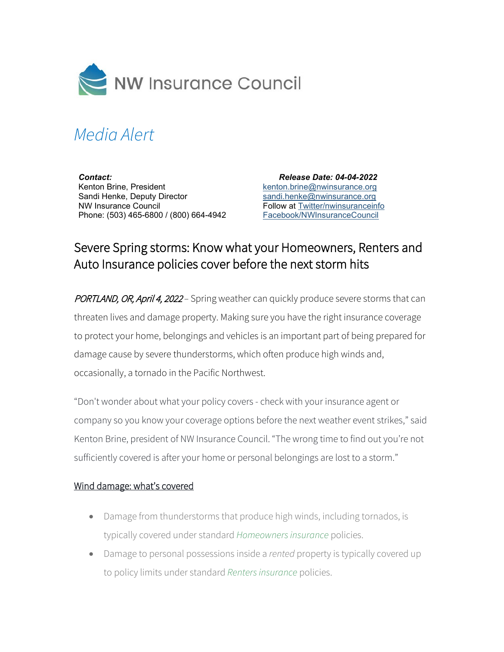

# *Media Alert*

*Contact:* Kenton Brine, President Sandi Henke, Deputy Director NW Insurance Council Phone: (503) 465-6800 / (800) 664-4942

 *Release Date: 04-04-2022* [kenton.brine@nwinsurance.org](mailto:kenton.brine@nwinsurance.org) [sandi.henke@nwinsurance.org](mailto:sandi.henke@nwinsurance.org) Follow at [Twitter/nwinsuranceinfo](http://twitter.com/#!/nwinsuranceinfo) [Facebook/NWInsuranceCouncil](https://www.facebook.com/NWInsuranceCouncil)

# Severe Spring storms: Know what your Homeowners, Renters and Auto Insurance policies cover before the next storm hits

PORTLAND, OR, April 4, 2022 *–* Spring weather can quickly produce severe storms that can threaten lives and damage property. Making sure you have the right insurance coverage to protect your home, belongings and vehicles is an important part of being prepared for damage cause by severe thunderstorms, which often produce high winds and, occasionally, a tornado in the Pacific Northwest.

"Don't wonder about what your policy covers - check with your insurance agent or company so you know your coverage options before the next weather event strikes," said Kenton Brine, president of NW Insurance Council. "The wrong time to find out you're not sufficiently covered is after your home or personal belongings are lost to a storm."

#### Wind damage: what's covered

- Damage from thunderstorms that produce high winds, including tornados, is typically covered under standard *[Homeowners insurance](https://www.nwinsurance.org/homeowners-insurance-basics)* policies.
- Damage to personal possessions inside a *rented* property is typically covered up to policy limits under standard *[Renters insurance](https://www.nwinsurance.org/renters-insurance-basics)* policies.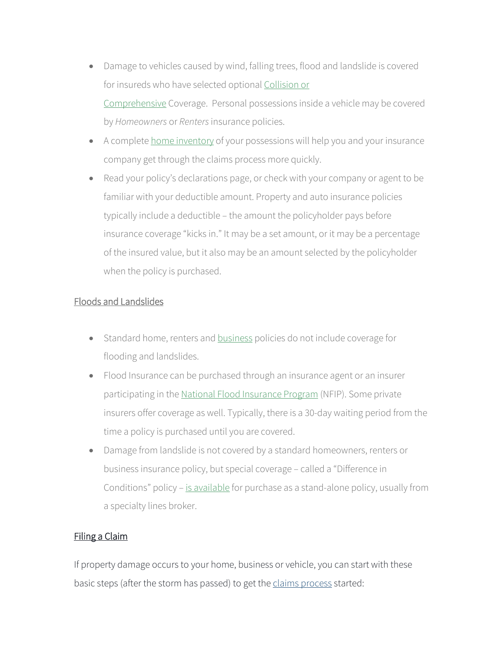- Damage to vehicles caused by wind, falling trees, flood and landslide is covered for insureds who have selected optional [Collision or](https://www.nwinsurance.org/auto-insurance-basics)  [Comprehensive](https://www.nwinsurance.org/auto-insurance-basics) Coverage. Personal possessions inside a vehicle may be covered by *Homeowners* or *Renters*insurance policies.
- A complete [home inventory](https://www.nwinsurance.org/building-a-home-inventory) of your possessions will help you and your insurance company get through the claims process more quickly.
- Read your policy's declarations page, or check with your company or agent to be familiar with your deductible amount. Property and auto insurance policies typically include a deductible – the amount the policyholder pays before insurance coverage "kicks in." It may be a set amount, or it may be a percentage of the insured value, but it also may be an amount selected by the policyholder when the policy is purchased.

## Floods and Landslides

- Standard home, renters and **[business](https://www.nwinsurance.org/business-insurance-basics)** policies do not include coverage for flooding and landslides.
- Flood Insurance can be purchased through an insurance agent or an insurer participating in the [National Flood Insurance Program](https://www.fema.gov/national-flood-insurance-program/How-Buy-Flood-Insurance) (NFIP). Some private insurers offer coverage as well. Typically, there is a 30-day waiting period from the time a policy is purchased until you are covered.
- Damage from landslide is not covered by a standard homeowners, renters or business insurance policy, but special coverage – called a "Difference in Conditions" policy [– is available](http://insurancemarketplace.com/Anonymous/Home/resultsearch.aspx?CoverageID=137&StateID=50) for purchase as a stand-alone policy, usually from a specialty lines broker.

## Filing a Claim

If property damage occurs to your home, business or vehicle, you can start with these basic steps (after the storm has passed) to get th[e claims process](https://www.nwinsurance.org/claims) started: